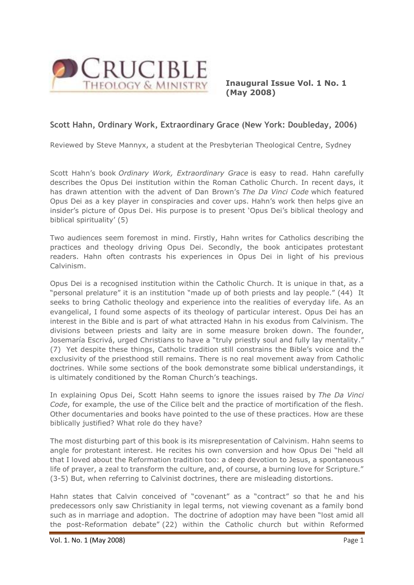

**Inaugural Issue Vol. 1 No. 1 (May 2008)**

## **Scott Hahn, Ordinary Work, Extraordinary Grace (New York: Doubleday, 2006)**

Reviewed by Steve Mannyx, a student at the Presbyterian Theological Centre, Sydney

Scott Hahn's book *Ordinary Work, Extraordinary Grace* is easy to read. Hahn carefully describes the Opus Dei institution within the Roman Catholic Church. In recent days, it has drawn attention with the advent of Dan Brown's *The Da Vinci Code* which featured Opus Dei as a key player in conspiracies and cover ups. Hahn's work then helps give an insider's picture of Opus Dei. His purpose is to present 'Opus Dei's biblical theology and biblical spirituality' (5)

Two audiences seem foremost in mind. Firstly, Hahn writes for Catholics describing the practices and theology driving Opus Dei. Secondly, the book anticipates protestant readers. Hahn often contrasts his experiences in Opus Dei in light of his previous Calvinism.

Opus Dei is a recognised institution within the Catholic Church. It is unique in that, as a "personal prelature" it is an institution "made up of both priests and lay people." (44) It seeks to bring Catholic theology and experience into the realities of everyday life. As an evangelical, I found some aspects of its theology of particular interest. Opus Dei has an interest in the Bible and is part of what attracted Hahn in his exodus from Calvinism. The divisions between priests and laity are in some measure broken down. The founder, Josemaría Escrivá, urged Christians to have a "truly priestly soul and fully lay mentality." (7) Yet despite these things, Catholic tradition still constrains the Bible's voice and the exclusivity of the priesthood still remains. There is no real movement away from Catholic doctrines. While some sections of the book demonstrate some biblical understandings, it is ultimately conditioned by the Roman Church's teachings.

In explaining Opus Dei, Scott Hahn seems to ignore the issues raised by *The Da Vinci Code*, for example, the use of the Cilice belt and the practice of mortification of the flesh. Other documentaries and books have pointed to the use of these practices. How are these biblically justified? What role do they have?

The most disturbing part of this book is its misrepresentation of Calvinism. Hahn seems to angle for protestant interest. He recites his own conversion and how Opus Dei "held all that I loved about the Reformation tradition too: a deep devotion to Jesus, a spontaneous life of prayer, a zeal to transform the culture, and, of course, a burning love for Scripture." (3-5) But, when referring to Calvinist doctrines, there are misleading distortions.

Hahn states that Calvin conceived of "covenant" as a "contract" so that he and his predecessors only saw Christianity in legal terms, not viewing covenant as a family bond such as in marriage and adoption. The doctrine of adoption may have been "lost amid all the post-Reformation debate" (22) within the Catholic church but within Reformed